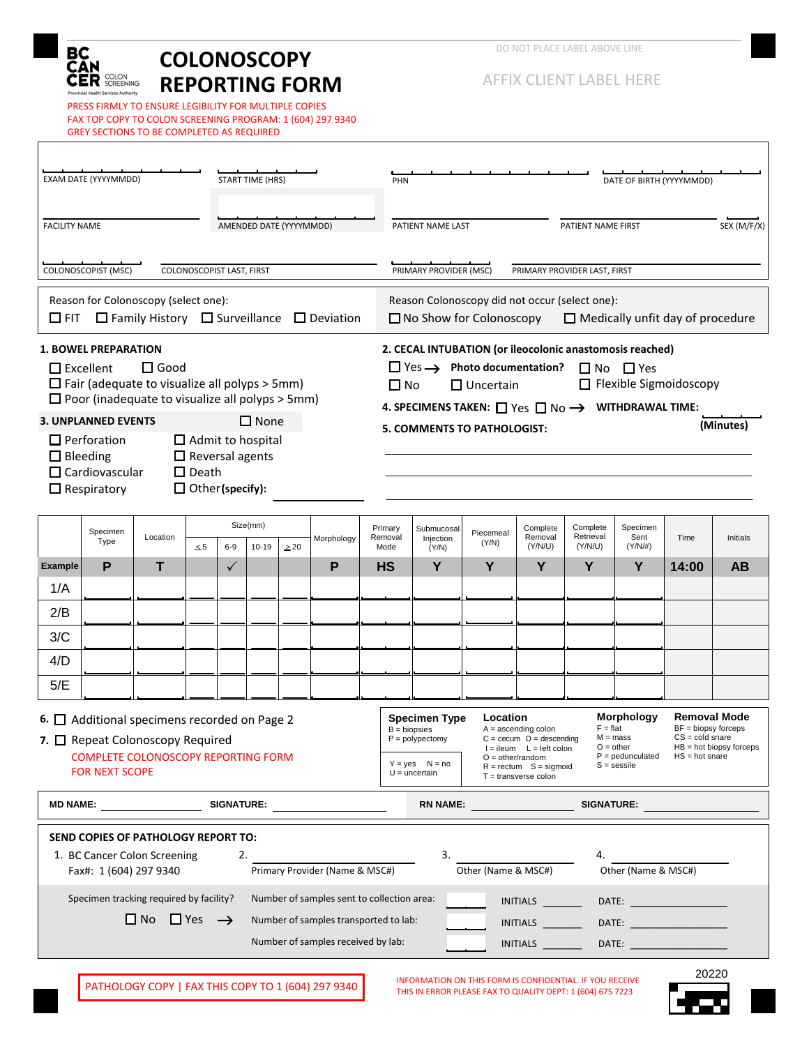

PRESS FIRMLY TO ENSURE LEGIBILITY FOR MULTIPLE COPIES FAX TOP COPY TO COLON SCREENING PROGRAM: 1 (604) 297 9340 GREY SECTIONS TO BE COMPLETED AS REQUIRED

AFFIX CLIENT LABEL HERE

| AMENDED DATE (YYYYMMDD)<br>PATIENT NAME LAST<br>PATIENT NAME FIRST<br><b>FACILITY NAME</b><br>COLONOSCOPIST (MSC)<br>COLONOSCOPIST LAST, FIRST<br>PRIMARY PROVIDER (MSC)<br>PRIMARY PROVIDER LAST, FIRST<br>Reason for Colonoscopy (select one):<br>Reason Colonoscopy did not occur (select one):<br>$\Box$ Family History $\Box$ Surveillance $\Box$ Deviation<br>$\Box$ FIT<br>$\Box$ No Show for Colonoscopy<br>$\Box$ Medically unfit day of procedure<br>2. CECAL INTUBATION (or ileocolonic anastomosis reached)<br><b>1. BOWEL PREPARATION</b>                                                                                               | SEX (M/F/X)<br>(Minutes)                                                                                  |  |  |  |  |  |  |  |  |  |  |
|------------------------------------------------------------------------------------------------------------------------------------------------------------------------------------------------------------------------------------------------------------------------------------------------------------------------------------------------------------------------------------------------------------------------------------------------------------------------------------------------------------------------------------------------------------------------------------------------------------------------------------------------------|-----------------------------------------------------------------------------------------------------------|--|--|--|--|--|--|--|--|--|--|
|                                                                                                                                                                                                                                                                                                                                                                                                                                                                                                                                                                                                                                                      |                                                                                                           |  |  |  |  |  |  |  |  |  |  |
|                                                                                                                                                                                                                                                                                                                                                                                                                                                                                                                                                                                                                                                      |                                                                                                           |  |  |  |  |  |  |  |  |  |  |
|                                                                                                                                                                                                                                                                                                                                                                                                                                                                                                                                                                                                                                                      |                                                                                                           |  |  |  |  |  |  |  |  |  |  |
| $\Box$ Excellent<br>$\square$ Good<br>$\Box$ Yes $\rightarrow$ Photo documentation?<br>$\Box$ No $\Box$ Yes<br>$\Box$ Fair (adequate to visualize all polyps > 5mm)<br>□ Flexible Sigmoidoscopy<br>$\Box$ Uncertain<br>$\Box$ No<br>$\Box$ Poor (inadequate to visualize all polyps > 5mm)<br>4. SPECIMENS TAKEN: $\Box$ Yes $\Box$ No $\rightarrow$ WITHDRAWAL TIME:<br>$\square$ None<br><b>3. UNPLANNED EVENTS</b><br><b>5. COMMENTS TO PATHOLOGIST:</b><br>$\Box$ Perforation<br>$\Box$ Admit to hospital<br>$\Box$ Reversal agents<br>$\Box$ Bleeding<br>$\Box$ Cardiovascular<br>$\Box$ Death<br>$\Box$ Other (specify):<br>$\Box$ Respiratory |                                                                                                           |  |  |  |  |  |  |  |  |  |  |
| Size(mm)<br>Complete<br>Specimen<br>Complete<br>Primary<br>Submucosal<br>Specimen<br>Piecemeal<br>Retrieval<br>Sent<br>Location<br>Removal<br>Removal<br>Morphology<br>Injection<br>Type<br>(Y/N)<br>$(Y/N/\#)$<br>$\leq 5$<br>$6-9$<br>$10 - 19$<br>(Y/N/U)<br>(Y/N/U)<br>$\geq 20$<br>Mode<br>(Y/N)                                                                                                                                                                                                                                                                                                                                                | Time<br>Initials                                                                                          |  |  |  |  |  |  |  |  |  |  |
| P<br>P<br>Y<br>Y<br>т<br>Y<br>Y<br>Y<br><b>Example</b><br>$\checkmark$<br><b>HS</b>                                                                                                                                                                                                                                                                                                                                                                                                                                                                                                                                                                  | 14:00<br>AB                                                                                               |  |  |  |  |  |  |  |  |  |  |
| 1/A                                                                                                                                                                                                                                                                                                                                                                                                                                                                                                                                                                                                                                                  |                                                                                                           |  |  |  |  |  |  |  |  |  |  |
| 2/B                                                                                                                                                                                                                                                                                                                                                                                                                                                                                                                                                                                                                                                  |                                                                                                           |  |  |  |  |  |  |  |  |  |  |
| 3/C<br>4/D                                                                                                                                                                                                                                                                                                                                                                                                                                                                                                                                                                                                                                           |                                                                                                           |  |  |  |  |  |  |  |  |  |  |
| 5/E                                                                                                                                                                                                                                                                                                                                                                                                                                                                                                                                                                                                                                                  |                                                                                                           |  |  |  |  |  |  |  |  |  |  |
| <b>Morphology</b><br>Location<br><b>Specimen Type</b><br>6. $\Box$ Additional specimens recorded on Page 2<br>$F = flat$<br>$A =$ ascending colon<br>$B = biopsies$<br>$M = mass$<br>7. O Repeat Colonoscopy Required<br>$P = polypectomy$<br>$C = cecum$ $D = descending$<br>$O = other$<br>$I = ileum$ $L = left$ colon<br>$P =$ pedunculated<br><b>COMPLETE COLONOSCOPY REPORTING FORM</b><br>$O = other/random$<br>$Y = yes$ $N = no$<br>$S =$ sessile<br>$R = rectum$ S = sigmoid<br><b>FOR NEXT SCOPE</b><br>$U =$ uncertain<br>$T =$ transverse colon                                                                                         | <b>Removal Mode</b><br>$BF = biopy$ forceps<br>$CS = cold\,$<br>$HB = hot$ biopsy forceps<br>$HS = hot\,$ |  |  |  |  |  |  |  |  |  |  |
| <b>MD NAME:</b><br><b>SIGNATURE:</b><br><b>RN NAME:</b><br><b>SIGNATURE:</b>                                                                                                                                                                                                                                                                                                                                                                                                                                                                                                                                                                         |                                                                                                           |  |  |  |  |  |  |  |  |  |  |
| SEND COPIES OF PATHOLOGY REPORT TO:<br>3.<br>1. BC Cancer Colon Screening<br>2.<br>4.<br>Primary Provider (Name & MSC#)<br>Other (Name & MSC#)<br>Fax#: 1 (604) 297 9340<br>Other (Name & MSC#)                                                                                                                                                                                                                                                                                                                                                                                                                                                      |                                                                                                           |  |  |  |  |  |  |  |  |  |  |
| Specimen tracking required by facility?<br>Number of samples sent to collection area:<br>INITIALS<br>$\square$ No $\square$ Yes $\rightarrow$<br>Number of samples transported to lab:<br><b>INITIALS</b><br>DATE: <b>William Street Street Street Street</b><br>Number of samples received by lab:<br>INITIALS<br>DATE: the contract of the contract of the contract of the contract of the contract of the contract of the contract of the contract of the contract of the contract of the contract of the contract of the contract of the cont                                                                                                    | 20220                                                                                                     |  |  |  |  |  |  |  |  |  |  |

PATHOLOGY COPY | FAX THIS COPY TO 1 (604) 297 9340 INFORMATION ON THIS FORM IS CONFIDENTIAL. IF YOU RECEIVE THIS IN ERROR PLEASE FAX TO QUALITY DEPT: 1 (604) 675 7223

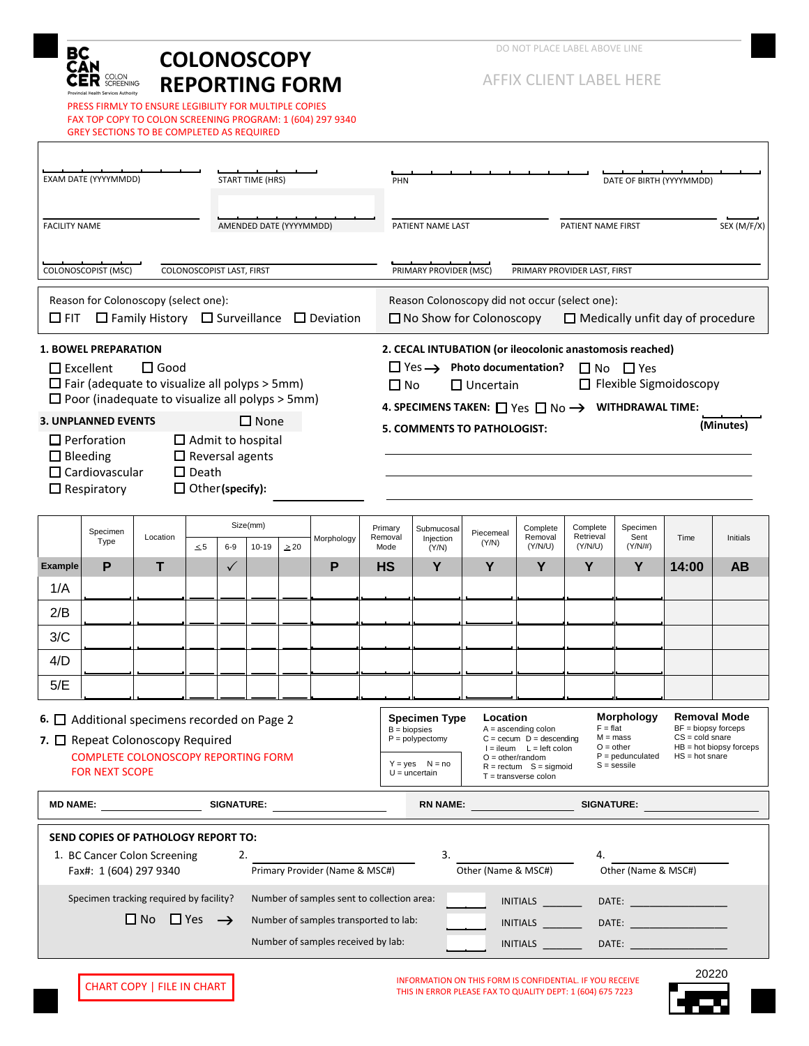

PRESS FIRMLY TO ENSURE LEGIBILITY FOR MULTIPLE COPIES FAX TOP COPY TO COLON SCREENING PROGRAM: 1 (604) 297 9340 GREY SECTIONS TO BE COMPLETED AS REQUIRED

AFFIX CLIENT LABEL HERE

| EXAM DATE (YYYYMMDD)<br><b>START TIME (HRS)</b>                                                                                                                                                                                                                                                                                                                                                                              |                                      |                                          |          |                           |           |                                       |                                                                                                                                                                                                                                                                                                                                                                                                                                                                                                           | DATE OF BIRTH (YYYYMMDD)<br>PHN                                                                                             |                                      |                    |                                |                                  |                                                  |       |          |  |
|------------------------------------------------------------------------------------------------------------------------------------------------------------------------------------------------------------------------------------------------------------------------------------------------------------------------------------------------------------------------------------------------------------------------------|--------------------------------------|------------------------------------------|----------|---------------------------|-----------|---------------------------------------|-----------------------------------------------------------------------------------------------------------------------------------------------------------------------------------------------------------------------------------------------------------------------------------------------------------------------------------------------------------------------------------------------------------------------------------------------------------------------------------------------------------|-----------------------------------------------------------------------------------------------------------------------------|--------------------------------------|--------------------|--------------------------------|----------------------------------|--------------------------------------------------|-------|----------|--|
| AMENDED DATE (YYYYMMDD)<br><b>FACILITY NAME</b>                                                                                                                                                                                                                                                                                                                                                                              |                                      |                                          |          |                           |           |                                       |                                                                                                                                                                                                                                                                                                                                                                                                                                                                                                           | PATIENT NAME LAST<br>PATIENT NAME FIRST<br>SEX (M/F/X)                                                                      |                                      |                    |                                |                                  |                                                  |       |          |  |
|                                                                                                                                                                                                                                                                                                                                                                                                                              | COLONOSCOPIST (MSC)                  |                                          |          | COLONOSCOPIST LAST, FIRST |           |                                       | PRIMARY PROVIDER (MSC)<br>PRIMARY PROVIDER LAST, FIRST                                                                                                                                                                                                                                                                                                                                                                                                                                                    |                                                                                                                             |                                      |                    |                                |                                  |                                                  |       |          |  |
| Reason for Colonoscopy (select one):<br>$\Box$ Family History $\Box$ Surveillance $\Box$ Deviation<br>$\Box$ FIT                                                                                                                                                                                                                                                                                                             |                                      |                                          |          |                           |           |                                       |                                                                                                                                                                                                                                                                                                                                                                                                                                                                                                           | Reason Colonoscopy did not occur (select one):<br>$\Box$ No Show for Colonoscopy<br>$\Box$ Medically unfit day of procedure |                                      |                    |                                |                                  |                                                  |       |          |  |
| <b>1. BOWEL PREPARATION</b><br>$\Box$ Excellent<br>$\square$ Good<br>$\Box$ Fair (adequate to visualize all polyps > 5mm)<br>$\Box$ Poor (inadequate to visualize all polyps > 5mm)<br>$\square$ None<br><b>3. UNPLANNED EVENTS</b><br>$\Box$ Perforation<br>$\Box$ Admit to hospital<br>$\Box$ Reversal agents<br>$\Box$ Bleeding<br>$\Box$ Cardiovascular<br>$\Box$ Death<br>$\Box$ Other (specify):<br>$\Box$ Respiratory |                                      |                                          |          |                           |           |                                       | 2. CECAL INTUBATION (or ileocolonic anastomosis reached)<br>$\Box$ Yes $\rightarrow$ Photo documentation?<br>$\Box$ No $\Box$ Yes<br>□ Flexible Sigmoidoscopy<br>$\Box$ Uncertain<br>$\Box$ No<br>4. SPECIMENS TAKEN: $\Box$ Yes $\Box$ No $\rightarrow$ WITHDRAWAL TIME:<br>(Minutes)<br><b>5. COMMENTS TO PATHOLOGIST:</b>                                                                                                                                                                              |                                                                                                                             |                                      |                    |                                |                                  |                                                  |       |          |  |
|                                                                                                                                                                                                                                                                                                                                                                                                                              | Specimen<br>Type                     | Location                                 | $\leq 5$ | Size(mm)<br>$6-9$         | $10 - 19$ | Morphology<br>$\geq 20$               |                                                                                                                                                                                                                                                                                                                                                                                                                                                                                                           | Primary<br>Removal<br>Mode                                                                                                  | Submucosal<br>Injection<br>(Y/N)     | Piecemeal<br>(Y/N) | Complete<br>Removal<br>(Y/N/U) | Complete<br>Retrieval<br>(Y/N/U) | Specimen<br>Sent<br>$(Y/N/\#)$                   | Time  | Initials |  |
| <b>Example</b>                                                                                                                                                                                                                                                                                                                                                                                                               | P                                    | т                                        |          | $\checkmark$              |           | P                                     |                                                                                                                                                                                                                                                                                                                                                                                                                                                                                                           | <b>HS</b>                                                                                                                   | Y                                    | Y                  | Y                              | Y                                | Y                                                | 14:00 | AB       |  |
| 1/A                                                                                                                                                                                                                                                                                                                                                                                                                          |                                      |                                          |          |                           |           |                                       |                                                                                                                                                                                                                                                                                                                                                                                                                                                                                                           |                                                                                                                             |                                      |                    |                                |                                  |                                                  |       |          |  |
| 2/B                                                                                                                                                                                                                                                                                                                                                                                                                          |                                      |                                          |          |                           |           |                                       |                                                                                                                                                                                                                                                                                                                                                                                                                                                                                                           |                                                                                                                             |                                      |                    |                                |                                  |                                                  |       |          |  |
| 3/C                                                                                                                                                                                                                                                                                                                                                                                                                          |                                      |                                          |          |                           |           |                                       |                                                                                                                                                                                                                                                                                                                                                                                                                                                                                                           |                                                                                                                             |                                      |                    |                                |                                  |                                                  |       |          |  |
| 4/D<br>5/E                                                                                                                                                                                                                                                                                                                                                                                                                   |                                      |                                          |          |                           |           |                                       |                                                                                                                                                                                                                                                                                                                                                                                                                                                                                                           |                                                                                                                             |                                      |                    |                                |                                  |                                                  |       |          |  |
|                                                                                                                                                                                                                                                                                                                                                                                                                              |                                      |                                          |          |                           |           |                                       |                                                                                                                                                                                                                                                                                                                                                                                                                                                                                                           |                                                                                                                             |                                      |                    |                                |                                  |                                                  |       |          |  |
| 6. $\Box$ Additional specimens recorded on Page 2<br>7. O Repeat Colonoscopy Required<br>COMPLETE COLONOSCOPY REPORTING FORM<br><b>FOR NEXT SCOPE</b>                                                                                                                                                                                                                                                                        |                                      |                                          |          |                           |           |                                       | <b>Morphology</b><br><b>Removal Mode</b><br>Location<br><b>Specimen Type</b><br>$BF = biopy$ forceps<br>$F = flat$<br>$A =$ ascending colon<br>$B = biopsies$<br>$CS = cold\,$<br>$M = mass$<br>$P = polypectomy$<br>$C = cecum$ $D = descending$<br>$O = other$<br>$HB = hot$ biopsy forceps<br>$I = ileum$ $L = left$ colon<br>$P =$ pedunculated<br>$HS = hot\,$<br>$O = other/random$<br>$Y = yes$ $N = no$<br>$S =$ sessile<br>$R = rectum$ S = sigmoid<br>$U =$ uncertain<br>$T =$ transverse colon |                                                                                                                             |                                      |                    |                                |                                  |                                                  |       |          |  |
|                                                                                                                                                                                                                                                                                                                                                                                                                              | <b>MD NAME:</b><br><b>SIGNATURE:</b> |                                          |          |                           |           |                                       |                                                                                                                                                                                                                                                                                                                                                                                                                                                                                                           |                                                                                                                             | <b>RN NAME:</b><br><b>SIGNATURE:</b> |                    |                                |                                  |                                                  |       |          |  |
|                                                                                                                                                                                                                                                                                                                                                                                                                              | SEND COPIES OF PATHOLOGY REPORT TO:  |                                          |          |                           |           |                                       |                                                                                                                                                                                                                                                                                                                                                                                                                                                                                                           |                                                                                                                             |                                      |                    |                                |                                  |                                                  |       |          |  |
| 3.<br>1. BC Cancer Colon Screening<br>2.<br>4.<br>Primary Provider (Name & MSC#)<br>Other (Name & MSC#)<br>Fax#: 1 (604) 297 9340<br>Other (Name & MSC#)                                                                                                                                                                                                                                                                     |                                      |                                          |          |                           |           |                                       |                                                                                                                                                                                                                                                                                                                                                                                                                                                                                                           |                                                                                                                             |                                      |                    |                                |                                  |                                                  |       |          |  |
| Specimen tracking required by facility?<br>Number of samples sent to collection area:                                                                                                                                                                                                                                                                                                                                        |                                      |                                          |          |                           |           |                                       |                                                                                                                                                                                                                                                                                                                                                                                                                                                                                                           |                                                                                                                             |                                      |                    | INITIALS                       |                                  |                                                  |       |          |  |
|                                                                                                                                                                                                                                                                                                                                                                                                                              |                                      | $\square$ No $\square$ Yes $\rightarrow$ |          |                           |           | Number of samples transported to lab: |                                                                                                                                                                                                                                                                                                                                                                                                                                                                                                           |                                                                                                                             |                                      |                    | <b>INITIALS</b>                |                                  | DATE: <b>William Street Street Street Street</b> |       |          |  |
|                                                                                                                                                                                                                                                                                                                                                                                                                              |                                      |                                          |          |                           |           | Number of samples received by lab:    |                                                                                                                                                                                                                                                                                                                                                                                                                                                                                                           |                                                                                                                             |                                      |                    | INITIALS                       |                                  | DATE:                                            |       |          |  |
|                                                                                                                                                                                                                                                                                                                                                                                                                              |                                      |                                          |          |                           |           |                                       |                                                                                                                                                                                                                                                                                                                                                                                                                                                                                                           |                                                                                                                             |                                      |                    |                                | $\frac{1}{2}$                    |                                                  | 20220 |          |  |

CHART COPY | FILE IN CHART | INFORMATION ON THIS FORM IS CONFIDENTIAL. IF YOU RECEIVE<br>
THIS IN ERROR PLEASE FAX TO QUALITY DEPT: 1 (604) 675 7223

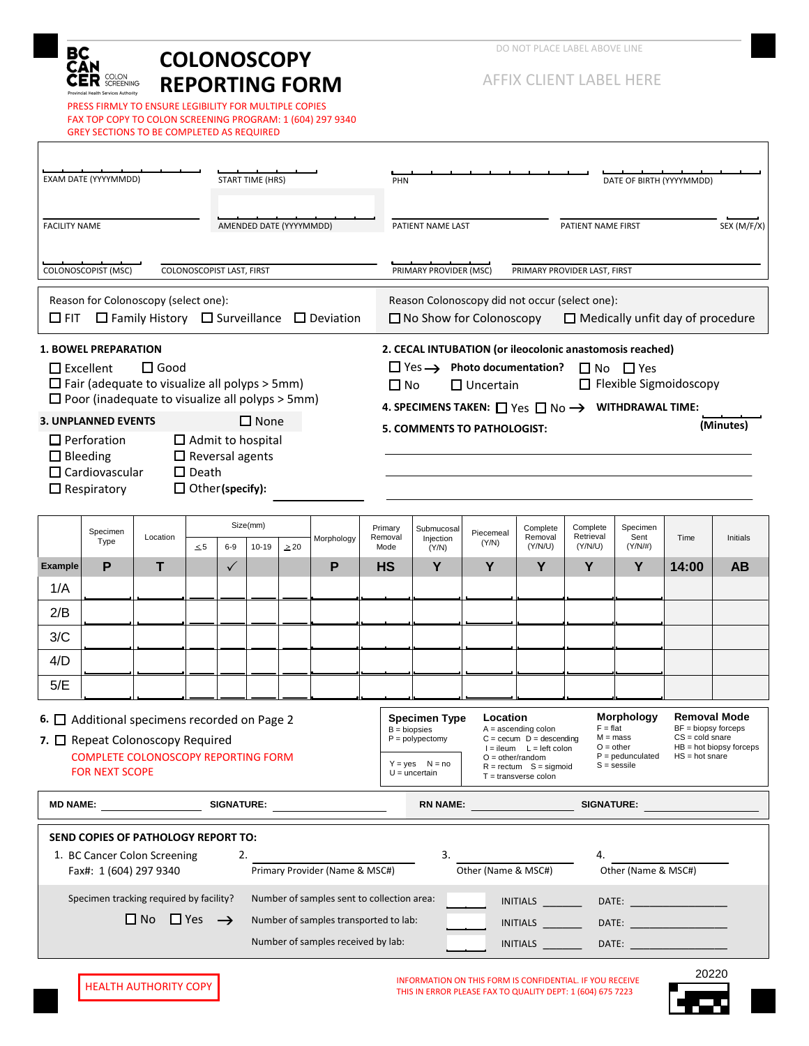

PRESS FIRMLY TO ENSURE LEGIBILITY FOR MULTIPLE COPIES FAX TOP COPY TO COLON SCREENING PROGRAM: 1 (604) 297 9340 GREY SECTIONS TO BE COMPLETED AS REQUIRED

AFFIX CLIENT LABEL HERE

| AMENDED DATE (YYYYMMDD)<br>PATIENT NAME LAST<br>PATIENT NAME FIRST<br>SEX (M/F/X)<br><b>FACILITY NAME</b><br>COLONOSCOPIST (MSC)<br>COLONOSCOPIST LAST, FIRST<br>PRIMARY PROVIDER (MSC)<br>PRIMARY PROVIDER LAST, FIRST<br>Reason for Colonoscopy (select one):<br>Reason Colonoscopy did not occur (select one):<br>$\Box$ Family History $\Box$ Surveillance $\Box$ Deviation<br>$\Box$ FIT<br>$\Box$ No Show for Colonoscopy<br>$\Box$ Medically unfit day of procedure<br>2. CECAL INTUBATION (or ileocolonic anastomosis reached)<br><b>1. BOWEL PREPARATION</b><br>$\Box$ Excellent<br>$\square$ Good<br>$\Box$ Yes $\rightarrow$ Photo documentation?<br>$\Box$ No $\Box$ Yes<br>$\Box$ Fair (adequate to visualize all polyps > 5mm)<br>□ Flexible Sigmoidoscopy<br>$\Box$ Uncertain<br>$\Box$ No<br>$\Box$ Poor (inadequate to visualize all polyps > 5mm)<br>4. SPECIMENS TAKEN: $\Box$ Yes $\Box$ No $\rightarrow$ WITHDRAWAL TIME:<br>$\square$ None<br><b>3. UNPLANNED EVENTS</b><br>(Minutes)<br><b>5. COMMENTS TO PATHOLOGIST:</b><br>$\Box$ Perforation<br>$\Box$ Admit to hospital<br>$\Box$ Reversal agents<br>$\Box$ Bleeding<br>$\Box$ Cardiovascular<br>$\Box$ Death<br>$\Box$ Other (specify):<br>$\Box$ Respiratory<br>Size(mm)<br>Complete<br>Specimen<br>Complete<br>Primary<br>Submucosal<br>Specimen<br>Piecemeal<br>Retrieval<br>Sent<br>Location<br>Removal<br>Removal<br>Time<br>Initials<br>Morphology<br>Injection<br>Type<br>(Y/N)<br>$(Y/N/\#)$<br>$\leq 5$<br>$6-9$<br>$10 - 19$<br>(Y/N/U)<br>(Y/N/U)<br>$\geq 20$<br>Mode<br>(Y/N)<br>P<br>P<br>Y<br>Y<br>т<br>Y<br>Y<br>Y<br>14:00<br>AB<br><b>Example</b><br>$\checkmark$<br><b>HS</b><br>1/A<br>2/B<br>3/C<br>4/D<br>5/E<br><b>Morphology</b><br><b>Removal Mode</b><br>Location<br><b>Specimen Type</b><br>6. $\Box$ Additional specimens recorded on Page 2<br>$BF = biopy$ forceps<br>$F = flat$<br>$A =$ ascending colon<br>$B = biopsies$<br>$CS = cold\,$<br>$M = mass$<br>7. O Repeat Colonoscopy Required<br>$P = polypectomy$<br>$C = cecum$ $D = descending$<br>$O = other$<br>$HB = hot$ biopsy forceps<br>$I = ileum$ $L = left$ colon<br>$P =$ pedunculated<br>COMPLETE COLONOSCOPY REPORTING FORM<br>$HS = hot\,$<br>$O = other/random$<br>$Y = yes$ $N = no$<br>$S =$ sessile<br>$R = rectum$ S = sigmoid<br><b>FOR NEXT SCOPE</b><br>$U =$ uncertain<br>$T =$ transverse colon<br><b>MD NAME:</b><br><b>SIGNATURE:</b><br><b>RN NAME:</b><br><b>SIGNATURE:</b><br>SEND COPIES OF PATHOLOGY REPORT TO:<br>3.<br>1. BC Cancer Colon Screening<br>2.<br>4.<br>Primary Provider (Name & MSC#)<br>Other (Name & MSC#)<br>Fax#: 1 (604) 297 9340<br>Other (Name & MSC#)<br>Specimen tracking required by facility?<br>Number of samples sent to collection area:<br>INITIALS<br>$\square$ No $\square$ Yes $\rightarrow$<br>Number of samples transported to lab:<br><b>INITIALS</b><br>DATE: <b>William Street Street Street Street</b><br>Number of samples received by lab:<br>INITIALS<br>DATE: | EXAM DATE (YYYYMMDD)<br><b>START TIME (HRS)</b> |  |  |  |  |  |  | DATE OF BIRTH (YYYYMMDD)<br>PHN |  |  |  |  |  |  |  |  |  |
|-------------------------------------------------------------------------------------------------------------------------------------------------------------------------------------------------------------------------------------------------------------------------------------------------------------------------------------------------------------------------------------------------------------------------------------------------------------------------------------------------------------------------------------------------------------------------------------------------------------------------------------------------------------------------------------------------------------------------------------------------------------------------------------------------------------------------------------------------------------------------------------------------------------------------------------------------------------------------------------------------------------------------------------------------------------------------------------------------------------------------------------------------------------------------------------------------------------------------------------------------------------------------------------------------------------------------------------------------------------------------------------------------------------------------------------------------------------------------------------------------------------------------------------------------------------------------------------------------------------------------------------------------------------------------------------------------------------------------------------------------------------------------------------------------------------------------------------------------------------------------------------------------------------------------------------------------------------------------------------------------------------------------------------------------------------------------------------------------------------------------------------------------------------------------------------------------------------------------------------------------------------------------------------------------------------------------------------------------------------------------------------------------------------------------------------------------------------------------------------------------------------------------------------------------------------------------------------------------------------------------------------------------------------------------------------------------------------------------------------------------------------------------------------------------------------------------------------------------------------------------------------------------------------------------------------------------------------------------------------------------------|-------------------------------------------------|--|--|--|--|--|--|---------------------------------|--|--|--|--|--|--|--|--|--|
|                                                                                                                                                                                                                                                                                                                                                                                                                                                                                                                                                                                                                                                                                                                                                                                                                                                                                                                                                                                                                                                                                                                                                                                                                                                                                                                                                                                                                                                                                                                                                                                                                                                                                                                                                                                                                                                                                                                                                                                                                                                                                                                                                                                                                                                                                                                                                                                                                                                                                                                                                                                                                                                                                                                                                                                                                                                                                                                                                                                                       |                                                 |  |  |  |  |  |  |                                 |  |  |  |  |  |  |  |  |  |
|                                                                                                                                                                                                                                                                                                                                                                                                                                                                                                                                                                                                                                                                                                                                                                                                                                                                                                                                                                                                                                                                                                                                                                                                                                                                                                                                                                                                                                                                                                                                                                                                                                                                                                                                                                                                                                                                                                                                                                                                                                                                                                                                                                                                                                                                                                                                                                                                                                                                                                                                                                                                                                                                                                                                                                                                                                                                                                                                                                                                       |                                                 |  |  |  |  |  |  |                                 |  |  |  |  |  |  |  |  |  |
|                                                                                                                                                                                                                                                                                                                                                                                                                                                                                                                                                                                                                                                                                                                                                                                                                                                                                                                                                                                                                                                                                                                                                                                                                                                                                                                                                                                                                                                                                                                                                                                                                                                                                                                                                                                                                                                                                                                                                                                                                                                                                                                                                                                                                                                                                                                                                                                                                                                                                                                                                                                                                                                                                                                                                                                                                                                                                                                                                                                                       |                                                 |  |  |  |  |  |  |                                 |  |  |  |  |  |  |  |  |  |
|                                                                                                                                                                                                                                                                                                                                                                                                                                                                                                                                                                                                                                                                                                                                                                                                                                                                                                                                                                                                                                                                                                                                                                                                                                                                                                                                                                                                                                                                                                                                                                                                                                                                                                                                                                                                                                                                                                                                                                                                                                                                                                                                                                                                                                                                                                                                                                                                                                                                                                                                                                                                                                                                                                                                                                                                                                                                                                                                                                                                       |                                                 |  |  |  |  |  |  |                                 |  |  |  |  |  |  |  |  |  |
|                                                                                                                                                                                                                                                                                                                                                                                                                                                                                                                                                                                                                                                                                                                                                                                                                                                                                                                                                                                                                                                                                                                                                                                                                                                                                                                                                                                                                                                                                                                                                                                                                                                                                                                                                                                                                                                                                                                                                                                                                                                                                                                                                                                                                                                                                                                                                                                                                                                                                                                                                                                                                                                                                                                                                                                                                                                                                                                                                                                                       |                                                 |  |  |  |  |  |  |                                 |  |  |  |  |  |  |  |  |  |
|                                                                                                                                                                                                                                                                                                                                                                                                                                                                                                                                                                                                                                                                                                                                                                                                                                                                                                                                                                                                                                                                                                                                                                                                                                                                                                                                                                                                                                                                                                                                                                                                                                                                                                                                                                                                                                                                                                                                                                                                                                                                                                                                                                                                                                                                                                                                                                                                                                                                                                                                                                                                                                                                                                                                                                                                                                                                                                                                                                                                       |                                                 |  |  |  |  |  |  |                                 |  |  |  |  |  |  |  |  |  |
|                                                                                                                                                                                                                                                                                                                                                                                                                                                                                                                                                                                                                                                                                                                                                                                                                                                                                                                                                                                                                                                                                                                                                                                                                                                                                                                                                                                                                                                                                                                                                                                                                                                                                                                                                                                                                                                                                                                                                                                                                                                                                                                                                                                                                                                                                                                                                                                                                                                                                                                                                                                                                                                                                                                                                                                                                                                                                                                                                                                                       |                                                 |  |  |  |  |  |  |                                 |  |  |  |  |  |  |  |  |  |
|                                                                                                                                                                                                                                                                                                                                                                                                                                                                                                                                                                                                                                                                                                                                                                                                                                                                                                                                                                                                                                                                                                                                                                                                                                                                                                                                                                                                                                                                                                                                                                                                                                                                                                                                                                                                                                                                                                                                                                                                                                                                                                                                                                                                                                                                                                                                                                                                                                                                                                                                                                                                                                                                                                                                                                                                                                                                                                                                                                                                       |                                                 |  |  |  |  |  |  |                                 |  |  |  |  |  |  |  |  |  |
|                                                                                                                                                                                                                                                                                                                                                                                                                                                                                                                                                                                                                                                                                                                                                                                                                                                                                                                                                                                                                                                                                                                                                                                                                                                                                                                                                                                                                                                                                                                                                                                                                                                                                                                                                                                                                                                                                                                                                                                                                                                                                                                                                                                                                                                                                                                                                                                                                                                                                                                                                                                                                                                                                                                                                                                                                                                                                                                                                                                                       |                                                 |  |  |  |  |  |  |                                 |  |  |  |  |  |  |  |  |  |
|                                                                                                                                                                                                                                                                                                                                                                                                                                                                                                                                                                                                                                                                                                                                                                                                                                                                                                                                                                                                                                                                                                                                                                                                                                                                                                                                                                                                                                                                                                                                                                                                                                                                                                                                                                                                                                                                                                                                                                                                                                                                                                                                                                                                                                                                                                                                                                                                                                                                                                                                                                                                                                                                                                                                                                                                                                                                                                                                                                                                       |                                                 |  |  |  |  |  |  |                                 |  |  |  |  |  |  |  |  |  |
|                                                                                                                                                                                                                                                                                                                                                                                                                                                                                                                                                                                                                                                                                                                                                                                                                                                                                                                                                                                                                                                                                                                                                                                                                                                                                                                                                                                                                                                                                                                                                                                                                                                                                                                                                                                                                                                                                                                                                                                                                                                                                                                                                                                                                                                                                                                                                                                                                                                                                                                                                                                                                                                                                                                                                                                                                                                                                                                                                                                                       |                                                 |  |  |  |  |  |  |                                 |  |  |  |  |  |  |  |  |  |
|                                                                                                                                                                                                                                                                                                                                                                                                                                                                                                                                                                                                                                                                                                                                                                                                                                                                                                                                                                                                                                                                                                                                                                                                                                                                                                                                                                                                                                                                                                                                                                                                                                                                                                                                                                                                                                                                                                                                                                                                                                                                                                                                                                                                                                                                                                                                                                                                                                                                                                                                                                                                                                                                                                                                                                                                                                                                                                                                                                                                       |                                                 |  |  |  |  |  |  |                                 |  |  |  |  |  |  |  |  |  |
|                                                                                                                                                                                                                                                                                                                                                                                                                                                                                                                                                                                                                                                                                                                                                                                                                                                                                                                                                                                                                                                                                                                                                                                                                                                                                                                                                                                                                                                                                                                                                                                                                                                                                                                                                                                                                                                                                                                                                                                                                                                                                                                                                                                                                                                                                                                                                                                                                                                                                                                                                                                                                                                                                                                                                                                                                                                                                                                                                                                                       |                                                 |  |  |  |  |  |  |                                 |  |  |  |  |  |  |  |  |  |
| 20220                                                                                                                                                                                                                                                                                                                                                                                                                                                                                                                                                                                                                                                                                                                                                                                                                                                                                                                                                                                                                                                                                                                                                                                                                                                                                                                                                                                                                                                                                                                                                                                                                                                                                                                                                                                                                                                                                                                                                                                                                                                                                                                                                                                                                                                                                                                                                                                                                                                                                                                                                                                                                                                                                                                                                                                                                                                                                                                                                                                                 |                                                 |  |  |  |  |  |  |                                 |  |  |  |  |  |  |  |  |  |

INFORMATION ON THIS FORM IS CONFIDENTIAL. IF YOU RECEIVE<br>THIS IN ERROR PLEASE FAX TO QUALITY DEPT: 1 (604) 675 7223

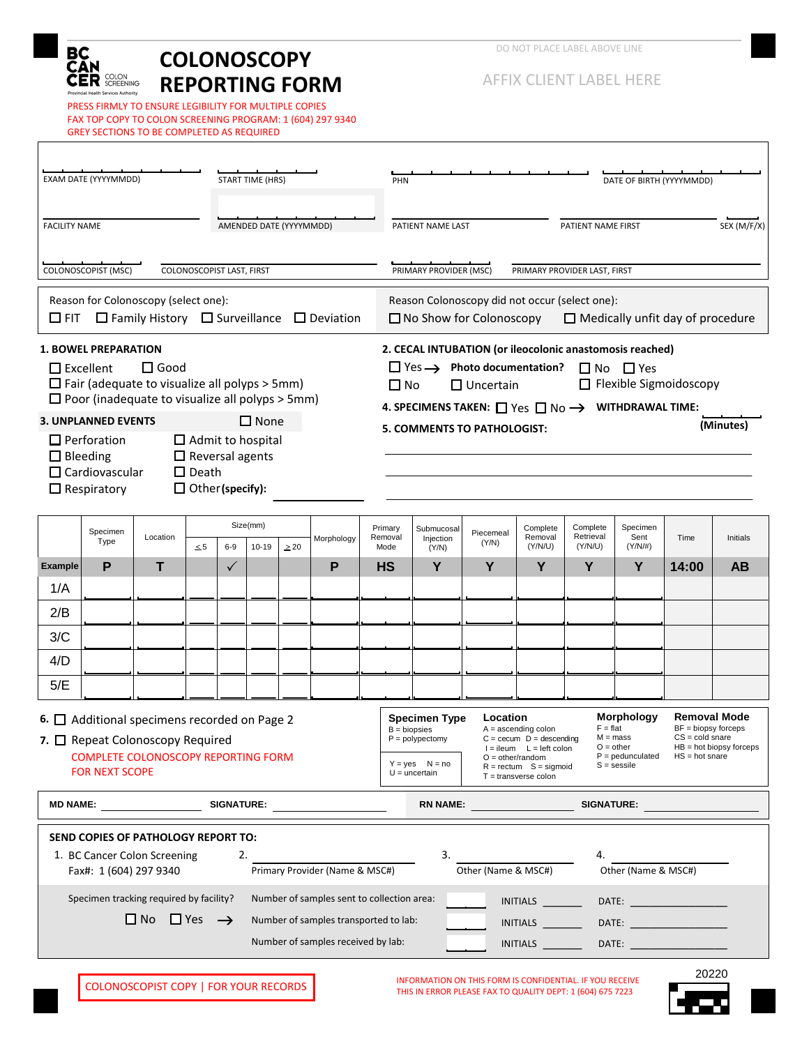

PRESS FIRMLY TO ENSURE LEGIBILITY FOR MULTIPLE COPIES FAX TOP COPY TO COLON SCREENING PROGRAM: 1 (604) 297 9340 GREY SECTIONS TO BE COMPLETED AS REQUIRED

AFFIX CLIENT LABEL HERE

| EXAM DATE (YYYYMMDD)<br><b>START TIME (HRS)</b>                                                                                                                                                                                                                                                                                                                                                                              |                     |          |                           |              |                       |           |                                                                                                                                                                                                                                                                                                                                                                                                                                                                                                              |                                                        | PHN                                                                                                                         |                                  |                                                |                                |                                                                                                                                                                                                                                                                | DATE OF BIRTH (YYYYMMDD)       |       |           |  |
|------------------------------------------------------------------------------------------------------------------------------------------------------------------------------------------------------------------------------------------------------------------------------------------------------------------------------------------------------------------------------------------------------------------------------|---------------------|----------|---------------------------|--------------|-----------------------|-----------|--------------------------------------------------------------------------------------------------------------------------------------------------------------------------------------------------------------------------------------------------------------------------------------------------------------------------------------------------------------------------------------------------------------------------------------------------------------------------------------------------------------|--------------------------------------------------------|-----------------------------------------------------------------------------------------------------------------------------|----------------------------------|------------------------------------------------|--------------------------------|----------------------------------------------------------------------------------------------------------------------------------------------------------------------------------------------------------------------------------------------------------------|--------------------------------|-------|-----------|--|
| <b>FACILITY NAME</b><br>AMENDED DATE (YYYYMMDD)                                                                                                                                                                                                                                                                                                                                                                              |                     |          |                           |              |                       |           |                                                                                                                                                                                                                                                                                                                                                                                                                                                                                                              | SEX (M/F/X)<br>PATIENT NAME LAST<br>PATIENT NAME FIRST |                                                                                                                             |                                  |                                                |                                |                                                                                                                                                                                                                                                                |                                |       |           |  |
|                                                                                                                                                                                                                                                                                                                                                                                                                              | COLONOSCOPIST (MSC) |          | COLONOSCOPIST LAST, FIRST |              |                       |           |                                                                                                                                                                                                                                                                                                                                                                                                                                                                                                              | PRIMARY PROVIDER (MSC)<br>PRIMARY PROVIDER LAST, FIRST |                                                                                                                             |                                  |                                                |                                |                                                                                                                                                                                                                                                                |                                |       |           |  |
| Reason for Colonoscopy (select one):<br>$\Box$ FIT<br>$\Box$ Family History $\Box$ Surveillance $\Box$ Deviation                                                                                                                                                                                                                                                                                                             |                     |          |                           |              |                       |           |                                                                                                                                                                                                                                                                                                                                                                                                                                                                                                              |                                                        | Reason Colonoscopy did not occur (select one):<br>$\Box$ No Show for Colonoscopy<br>$\Box$ Medically unfit day of procedure |                                  |                                                |                                |                                                                                                                                                                                                                                                                |                                |       |           |  |
| <b>1. BOWEL PREPARATION</b><br>$\Box$ Excellent<br>$\square$ Good<br>$\Box$ Fair (adequate to visualize all polyps > 5mm)<br>$\Box$ Poor (inadequate to visualize all polyps > 5mm)<br>$\Box$ None<br><b>3. UNPLANNED EVENTS</b><br>$\Box$ Admit to hospital<br>$\Box$ Perforation<br>$\Box$ Reversal agents<br>$\Box$ Bleeding<br>$\Box$ Cardiovascular<br>$\square$ Death<br>$\Box$ Other (specify):<br>$\Box$ Respiratory |                     |          |                           |              |                       |           | 2. CECAL INTUBATION (or ileocolonic anastomosis reached)<br>$\Box$ Yes $\rightarrow$ Photo documentation?<br>$\Box$ No $\Box$ Yes<br>$\Box$ Flexible Sigmoidoscopy<br>$\Box$ Uncertain<br>$\Box$ No<br>4. SPECIMENS TAKEN: $\Box$ Yes $\Box$ No $\rightarrow$ WITHDRAWAL TIME:<br>(Minutes)<br><b>5. COMMENTS TO PATHOLOGIST:</b>                                                                                                                                                                            |                                                        |                                                                                                                             |                                  |                                                |                                |                                                                                                                                                                                                                                                                |                                |       |           |  |
|                                                                                                                                                                                                                                                                                                                                                                                                                              | Specimen<br>Type    | Location | $\leq 5$                  | $6-9$        | Size(mm)<br>$10 - 19$ | $\geq 20$ | Morphology                                                                                                                                                                                                                                                                                                                                                                                                                                                                                                   |                                                        | Primary<br>Removal<br>Mode                                                                                                  | Submucosal<br>Injection<br>(Y/N) | Piecemeal<br>(Y/N)                             | Complete<br>Removal<br>(Y/N/U) | Complete<br>Retrieval<br>(Y/N/U)                                                                                                                                                                                                                               | Specimen<br>Sent<br>$(Y/N/\#)$ | Time  | Initials  |  |
| <b>Example</b><br>1/A                                                                                                                                                                                                                                                                                                                                                                                                        | P                   | т        |                           | $\checkmark$ |                       |           | P                                                                                                                                                                                                                                                                                                                                                                                                                                                                                                            | <b>HS</b>                                              |                                                                                                                             | Y                                | Y                                              | Y                              | Y                                                                                                                                                                                                                                                              | Y                              | 14:00 | <b>AB</b> |  |
| 2/B                                                                                                                                                                                                                                                                                                                                                                                                                          |                     |          |                           |              |                       |           |                                                                                                                                                                                                                                                                                                                                                                                                                                                                                                              |                                                        |                                                                                                                             |                                  |                                                |                                |                                                                                                                                                                                                                                                                |                                |       |           |  |
| 3/C                                                                                                                                                                                                                                                                                                                                                                                                                          |                     |          |                           |              |                       |           |                                                                                                                                                                                                                                                                                                                                                                                                                                                                                                              |                                                        |                                                                                                                             |                                  |                                                |                                |                                                                                                                                                                                                                                                                |                                |       |           |  |
| 4/D                                                                                                                                                                                                                                                                                                                                                                                                                          |                     |          |                           |              |                       |           |                                                                                                                                                                                                                                                                                                                                                                                                                                                                                                              |                                                        |                                                                                                                             |                                  |                                                |                                |                                                                                                                                                                                                                                                                |                                |       |           |  |
| 5/E                                                                                                                                                                                                                                                                                                                                                                                                                          |                     |          |                           |              |                       |           |                                                                                                                                                                                                                                                                                                                                                                                                                                                                                                              |                                                        |                                                                                                                             |                                  |                                                |                                |                                                                                                                                                                                                                                                                |                                |       |           |  |
| 6. $\Box$ Additional specimens recorded on Page 2<br>7. <b>O</b> Repeat Colonoscopy Required<br><b>COMPLETE COLONOSCOPY REPORTING FORM</b><br><b>FOR NEXT SCOPE</b>                                                                                                                                                                                                                                                          |                     |          |                           |              |                       |           | <b>Morphology</b><br><b>Removal Mode</b><br>Location<br><b>Specimen Type</b><br>$F = flat$<br>BF = biopsy forceps<br>$B = biopsies$<br>$A =$ ascending colon<br>$CS = cold\,$<br>$M = mass$<br>$P = polypectomy$<br>$C = cecum$ $D = descending$<br>$O = other$<br>$HB = hot$ biopsy forceps<br>$I = ileum$ $L = left$ colon<br>$P =$ pedunculated<br>$HS = hot share$<br>$O = other/random$<br>$Y = yes$ $N = no$<br>$S =$ sessile<br>$R = rectum$ S = sigmoid<br>$U =$ uncertain<br>$T =$ transverse colon |                                                        |                                                                                                                             |                                  |                                                |                                |                                                                                                                                                                                                                                                                |                                |       |           |  |
|                                                                                                                                                                                                                                                                                                                                                                                                                              | <b>MD NAME:</b>     |          |                           |              |                       |           | SIGNATURE: <b>SIGNATURE</b>                                                                                                                                                                                                                                                                                                                                                                                                                                                                                  |                                                        |                                                                                                                             | <b>RN NAME:</b>                  |                                                |                                | <b>SIGNATURE:</b>                                                                                                                                                                                                                                              |                                |       |           |  |
| SEND COPIES OF PATHOLOGY REPORT TO:<br>3.<br>1. BC Cancer Colon Screening<br>2.<br>4.<br>Other (Name & MSC#)<br>Primary Provider (Name & MSC#)<br>Other (Name & MSC#)<br>Fax#: 1 (604) 297 9340                                                                                                                                                                                                                              |                     |          |                           |              |                       |           |                                                                                                                                                                                                                                                                                                                                                                                                                                                                                                              |                                                        |                                                                                                                             |                                  |                                                |                                |                                                                                                                                                                                                                                                                |                                |       |           |  |
| Specimen tracking required by facility?<br>Number of samples sent to collection area:<br>$\square$ No $\square$ Yes $\rightarrow$<br>Number of samples transported to lab:<br>Number of samples received by lab:                                                                                                                                                                                                             |                     |          |                           |              |                       |           |                                                                                                                                                                                                                                                                                                                                                                                                                                                                                                              |                                                        |                                                                                                                             |                                  | INITIALS<br><b>INITIALS</b><br><b>INITIALS</b> |                                | <b>DATE: Example 20</b><br><b>DATE:</b> the contract of the contract of the contract of the contract of the contract of the contract of the contract of the contract of the contract of the contract of the contract of the contract of the contract of the co |                                |       |           |  |
|                                                                                                                                                                                                                                                                                                                                                                                                                              |                     |          |                           |              |                       |           |                                                                                                                                                                                                                                                                                                                                                                                                                                                                                                              |                                                        |                                                                                                                             |                                  |                                                |                                |                                                                                                                                                                                                                                                                |                                |       | 20220     |  |

COLONOSCOPIST COPY | FOR YOUR RECORDS THIS INFORMATION ON THIS FORM IS CONFIDENTIAL. IF YOU RECEIVE THIS IN ERROR PLEASE FAX TO QUALITY DEPT: 1 (604) 675 7223